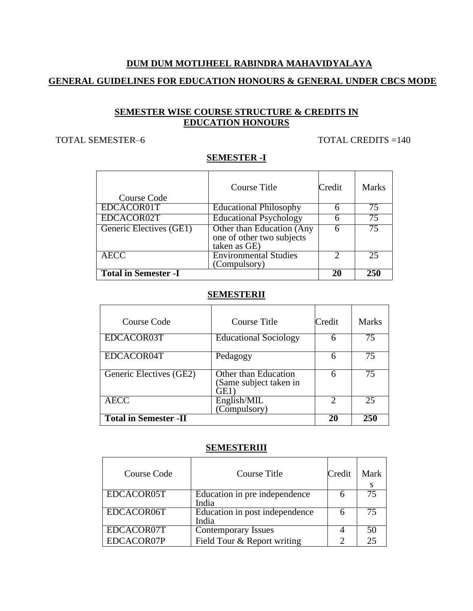# **DUM DUM MOTIJHEEL RABINDRA MAHAVIDYALAYA GENERAL GUIDELINES FOR EDUCATION HONOURS & GENERAL UNDER CBCS MODE**

#### **SEMESTER WISE COURSE STRUCTURE & CREDITS IN EDUCATION HONOURS**

#### TOTAL SEMESTER-6 TOTAL CREDITS = 140

#### **SEMESTER -I**

| Course Code                 | Course Title                                                           | Credit | <b>Marks</b> |
|-----------------------------|------------------------------------------------------------------------|--------|--------------|
| EDCACOR01T                  | <b>Educational Philosophy</b>                                          |        | 75           |
| EDCACOR02T                  | <b>Educational Psychology</b>                                          |        | 75           |
| Generic Electives (GE1)     | Other than Education (Any<br>one of other two subjects<br>taken as GE) |        | 75           |
| <b>AECC</b>                 | <b>Environmental Studies</b><br>(Compulsory)                           |        | 25           |
| <b>Total in Semester -I</b> |                                                                        | 20     | 250          |

#### **SEMESTERII**

| Course Code                  | <b>Course Title</b>                                  | Credit | <b>Marks</b> |
|------------------------------|------------------------------------------------------|--------|--------------|
| EDCACOR03T                   | <b>Educational Sociology</b>                         |        | 75           |
| EDCACOR04T                   | Pedagogy                                             | 6      | 75           |
| Generic Electives (GE2)      | Other than Education<br>Same subject taken in<br>GE1 | 6      | 75           |
| AECC                         | English/MIL<br>(Compulsory)                          |        | 25           |
| <b>Total in Semester -II</b> |                                                      | 20     | 250          |

#### **SEMESTERIII**

| Course Code | Course Title                            | Credit | Mark |
|-------------|-----------------------------------------|--------|------|
| EDCACOR05T  | Education in pre independence<br>India  |        | 75   |
| EDCACOR06T  | Education in post independence<br>India |        | 75   |
| EDCACOR07T  | <b>Contemporary Issues</b>              |        | 50   |
| EDCACOR07P  | Field Tour & Report writing             |        | 25   |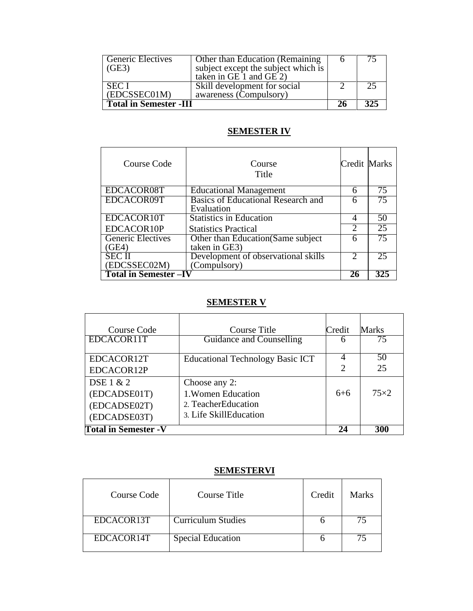| <b>Generic Electives</b><br>(GE3) | Other than Education (Remaining)<br>subject except the subject which is |  |     |
|-----------------------------------|-------------------------------------------------------------------------|--|-----|
| <b>SECT</b>                       | taken in GE $1$ and GE $2$ )<br>Skill development for social            |  |     |
| (EDCSSEC01M)                      | awareness (Compulsory)                                                  |  |     |
| <b>Total in Semester -III</b>     |                                                                         |  | 325 |

#### **SEMESTER IV**

| Course Code                       | Course<br>Title                                      | Credit Marks                |    |
|-----------------------------------|------------------------------------------------------|-----------------------------|----|
| EDCACOR08T                        | <b>Educational Management</b>                        | 6                           | 75 |
| EDCACOR09T                        | Basics of Educational Research and<br>Evaluation     |                             |    |
| EDCACOR10T                        | <b>Statistics in Education</b>                       | 4                           | 50 |
| EDCACOR10P                        | <b>Statistics Practical</b>                          | $\mathcal{D}$               | 25 |
| <b>Generic Electives</b><br>(GE4) | Other than Education (Same subject)<br>taken in GE3) |                             | 75 |
| <b>SECII</b>                      | Development of observational skills                  | $\mathcal{D}_{\mathcal{L}}$ | 25 |
| (EDCSSEC02M)                      | (Compulsory)                                         |                             |    |
| <b>Total in Semester-IV</b>       |                                                      | 26                          |    |

# **SEMESTER V**

| Course Code                                  | Course Title                                                        | Credit                      | <b>Marks</b> |
|----------------------------------------------|---------------------------------------------------------------------|-----------------------------|--------------|
| EDCACOR11T                                   | Guidance and Counselling                                            | h                           | 75           |
| EDCACOR12T                                   | Educational Technology Basic ICT                                    | $\mathcal{D}_{\mathcal{L}}$ | 50<br>25     |
| EDCACOR12P<br>DSE 1 & 2                      | Choose any 2:                                                       |                             |              |
| (EDCADSE01T)<br>(EDCADSE02T)<br>(EDCADSE03T) | 1. Women Education<br>2. TeacherEducation<br>3. Life SkillEducation | $6 + 6$                     | $75\times2$  |
| <b>Total in Semester - V</b>                 |                                                                     |                             | 300          |

## **SEMESTERVI**

| Course Code | Course Title              | Credit | Marks |
|-------------|---------------------------|--------|-------|
| EDCACOR13T  | <b>Curriculum Studies</b> |        |       |
| EDCACOR14T  | <b>Special Education</b>  |        |       |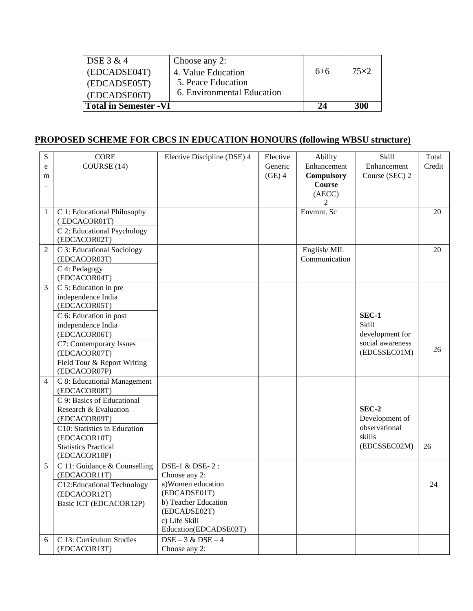| $\overline{DSE}$ 3 & 4       | Choose any 2:              |       |             |
|------------------------------|----------------------------|-------|-------------|
| (EDCADSE04T)                 | 4. Value Education         | $6+6$ | $75\times2$ |
| (EDCADSE05T)                 | 5. Peace Education         |       |             |
| (EDCADSE06T)                 | 6. Environmental Education |       |             |
| <b>Total in Semester -VI</b> |                            | 24    | 300         |

# **PROPOSED SCHEME FOR CBCS IN EDUCATION HONOURS (following WBSU structure)**

| COURSE (14)<br>Generic<br>Enhancement<br>Enhancement<br>e<br>$(GE)$ 4<br><b>Compulsory</b><br>Course (SEC) 2<br>m<br><b>Course</b><br>(AECC)<br>2<br>Envmnt. Sc<br>C 1: Educational Philosophy<br>$\mathbf{1}$<br>(EDCACOR01T)<br>C 2: Educational Psychology<br>(EDCACOR02T)<br>$\overline{2}$<br>C 3: Educational Sociology<br>English/MIL |        |
|----------------------------------------------------------------------------------------------------------------------------------------------------------------------------------------------------------------------------------------------------------------------------------------------------------------------------------------------|--------|
|                                                                                                                                                                                                                                                                                                                                              | Credit |
|                                                                                                                                                                                                                                                                                                                                              |        |
|                                                                                                                                                                                                                                                                                                                                              |        |
|                                                                                                                                                                                                                                                                                                                                              |        |
|                                                                                                                                                                                                                                                                                                                                              | 20     |
|                                                                                                                                                                                                                                                                                                                                              |        |
|                                                                                                                                                                                                                                                                                                                                              |        |
|                                                                                                                                                                                                                                                                                                                                              |        |
|                                                                                                                                                                                                                                                                                                                                              | 20     |
| Communication<br>(EDCACOR03T)                                                                                                                                                                                                                                                                                                                |        |
| C 4: Pedagogy                                                                                                                                                                                                                                                                                                                                |        |
| (EDCACOR04T)                                                                                                                                                                                                                                                                                                                                 |        |
| 3<br>C 5: Education in pre                                                                                                                                                                                                                                                                                                                   |        |
| independence India<br>(EDCACOR05T)                                                                                                                                                                                                                                                                                                           |        |
| SEC-1<br>C 6: Education in post                                                                                                                                                                                                                                                                                                              |        |
| Skill<br>independence India                                                                                                                                                                                                                                                                                                                  |        |
| development for<br>(EDCACOR06T)                                                                                                                                                                                                                                                                                                              |        |
| social awareness<br>C7: Contemporary Issues                                                                                                                                                                                                                                                                                                  |        |
| (EDCSSEC01M)<br>(EDCACOR07T)                                                                                                                                                                                                                                                                                                                 | 26     |
| Field Tour & Report Writing                                                                                                                                                                                                                                                                                                                  |        |
| (EDCACOR07P)                                                                                                                                                                                                                                                                                                                                 |        |
| C 8: Educational Management<br>$\overline{\mathcal{A}}$                                                                                                                                                                                                                                                                                      |        |
| (EDCACOR08T)                                                                                                                                                                                                                                                                                                                                 |        |
| C 9: Basics of Educational                                                                                                                                                                                                                                                                                                                   |        |
| SEC-2<br>Research & Evaluation                                                                                                                                                                                                                                                                                                               |        |
| Development of<br>(EDCACOR09T)<br>observational                                                                                                                                                                                                                                                                                              |        |
| C10: Statistics in Education<br>skills                                                                                                                                                                                                                                                                                                       |        |
| (EDCACOR10T)<br>(EDCSSEC02M)<br>26<br><b>Statistics Practical</b>                                                                                                                                                                                                                                                                            |        |
| (EDCACOR10P)                                                                                                                                                                                                                                                                                                                                 |        |
| DSE-1 & DSE-2:<br>5<br>C 11: Guidance & Counselling                                                                                                                                                                                                                                                                                          |        |
| (EDCACOR11T)<br>Choose any 2:                                                                                                                                                                                                                                                                                                                |        |
| a)Women education<br>C12:Educational Technology                                                                                                                                                                                                                                                                                              | 24     |
| (EDCADSE01T)<br>(EDCACOR12T)                                                                                                                                                                                                                                                                                                                 |        |
| b) Teacher Education<br>Basic ICT (EDCACOR12P)                                                                                                                                                                                                                                                                                               |        |
| (EDCADSE02T)                                                                                                                                                                                                                                                                                                                                 |        |
| c) Life Skill<br>Education(EDCADSE03T)                                                                                                                                                                                                                                                                                                       |        |
| C 13: Curriculum Studies<br>$DSE - 3 & DSE - 4$<br>6                                                                                                                                                                                                                                                                                         |        |
| (EDCACOR13T)<br>Choose any 2:                                                                                                                                                                                                                                                                                                                |        |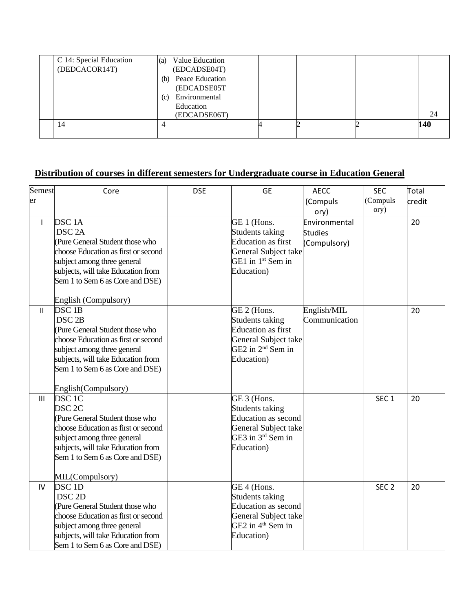| C 14: Special Education<br>(DEDCACOR14T) | (a)<br>(b)<br>(c) | Value Education<br>(EDCADSE04T)<br>Peace Education<br>(EDCADSE05T<br>Environmental<br>Education<br>(EDCADSE06T) |  | 24  |
|------------------------------------------|-------------------|-----------------------------------------------------------------------------------------------------------------|--|-----|
| 14                                       | 4                 |                                                                                                                 |  | 140 |

## **Distribution of courses in different semesters for Undergraduate course in Education General**

| Semest        | Core                                | <b>DSE</b> | <b>GE</b>                     | <b>AECC</b>    | <b>SEC</b>       | Total  |
|---------------|-------------------------------------|------------|-------------------------------|----------------|------------------|--------|
| er            |                                     |            |                               | (Compuls       | (Compuls         | credit |
|               |                                     |            |                               | ory)           | ory)             |        |
| $\mathsf{I}$  | DSC <sub>1</sub> A                  |            | GE 1 (Hons.                   | Environmental  |                  | 20     |
|               | DSC <sub>2A</sub>                   |            | Students taking               | <b>Studies</b> |                  |        |
|               | Pure General Student those who      |            | <b>Education</b> as first     | (Compulsory)   |                  |        |
|               | choose Education as first or second |            | General Subject take          |                |                  |        |
|               | subject among three general         |            | GE1 in 1 <sup>st</sup> Sem in |                |                  |        |
|               | subjects, will take Education from  |            | Education)                    |                |                  |        |
|               | Sem 1 to Sem 6 as Core and DSE)     |            |                               |                |                  |        |
|               |                                     |            |                               |                |                  |        |
|               | English (Compulsory)                |            |                               |                |                  |        |
| $\mathbf{II}$ | DSC <sub>1B</sub>                   |            | GE 2 (Hons.                   | English/MIL    |                  | 20     |
|               | DSC <sub>2B</sub>                   |            | Students taking               | Communication  |                  |        |
|               | Pure General Student those who      |            | <b>Education as first</b>     |                |                  |        |
|               | choose Education as first or second |            | General Subject take          |                |                  |        |
|               | subject among three general         |            | GE2 in 2 <sup>nd</sup> Sem in |                |                  |        |
|               | subjects, will take Education from  |            | Education)                    |                |                  |        |
|               | Sem 1 to Sem 6 as Core and DSE)     |            |                               |                |                  |        |
|               |                                     |            |                               |                |                  |        |
|               | English(Compulsory)                 |            |                               |                |                  |        |
| III           | $DSC$ $IC$                          |            | GE 3 (Hons.                   |                | SEC <sub>1</sub> | 20     |
|               | DSC <sub>2C</sub>                   |            | Students taking               |                |                  |        |
|               | (Pure General Student those who     |            | <b>Education as second</b>    |                |                  |        |
|               | choose Education as first or second |            | General Subject take          |                |                  |        |
|               | subject among three general         |            | GE3 in 3rd Sem in             |                |                  |        |
|               | subjects, will take Education from  |            | Education)                    |                |                  |        |
|               | Sem 1 to Sem 6 as Core and DSE)     |            |                               |                |                  |        |
|               |                                     |            |                               |                |                  |        |
|               | MIL(Compulsory)                     |            |                               |                |                  |        |
| IV            | DSC <sub>1D</sub>                   |            | GE 4 (Hons.                   |                | SEC <sub>2</sub> | 20     |
|               | DSC <sub>2D</sub>                   |            | Students taking               |                |                  |        |
|               | Pure General Student those who      |            | <b>Education as second</b>    |                |                  |        |
|               | choose Education as first or second |            | General Subject take          |                |                  |        |
|               | subject among three general         |            | GE2 in 4 <sup>th</sup> Sem in |                |                  |        |
|               | subjects, will take Education from  |            | Education)                    |                |                  |        |
|               | Sem 1 to Sem 6 as Core and DSE)     |            |                               |                |                  |        |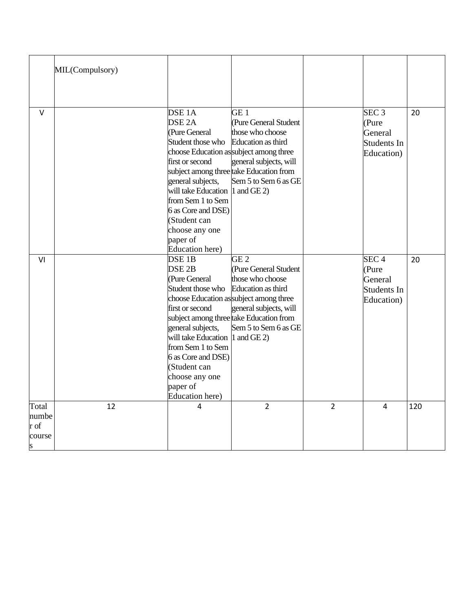|                                       | MIL(Compulsory) |                                                                                                                                                                                                                                                                            |                                                                                                                                                                                                                            |                |                                                                   |     |
|---------------------------------------|-----------------|----------------------------------------------------------------------------------------------------------------------------------------------------------------------------------------------------------------------------------------------------------------------------|----------------------------------------------------------------------------------------------------------------------------------------------------------------------------------------------------------------------------|----------------|-------------------------------------------------------------------|-----|
|                                       |                 |                                                                                                                                                                                                                                                                            |                                                                                                                                                                                                                            |                |                                                                   |     |
| $\vee$                                |                 | DSE <sub>1</sub> A<br>DSE <sub>2A</sub><br>(Pure General<br>Student those who<br>first or second<br>general subjects,<br>will take Education $ 1$ and GE 2)<br>from Sem 1 to Sem<br>6 as Core and DSE)<br>(Student can<br>choose any one<br>paper of<br>Education here)    | GE <sub>1</sub><br>(Pure General Student<br>those who choose<br>Education as third<br>choose Education as subject among three<br>general subjects, will<br>subject among three take Education from<br>Sem 5 to Sem 6 as GE |                | SEC 3<br>(Pure<br>General<br>Students In<br>Education)            | 20  |
| VI                                    |                 | DSE <sub>1B</sub><br>DSE <sub>2B</sub><br>(Pure General<br>Student those who<br>first or second<br>general subjects,<br>will take Education 1 and GE 2)<br>from Sem 1 to Sem<br>6 as Core and DSE)<br>(Student can<br>choose any one<br>paper of<br><b>Education</b> here) | GE 2<br>(Pure General Student<br>those who choose<br>Education as third<br>choose Education as subject among three<br>general subjects, will<br>subject among three take Education from<br>Sem 5 to Sem 6 as GE            |                | SEC <sub>4</sub><br>(Pure<br>General<br>Students In<br>Education) | 20  |
| Total<br>numbe<br>r of<br>course<br>S | 12              | 4                                                                                                                                                                                                                                                                          | $\overline{2}$                                                                                                                                                                                                             | $\overline{2}$ | 4                                                                 | 120 |